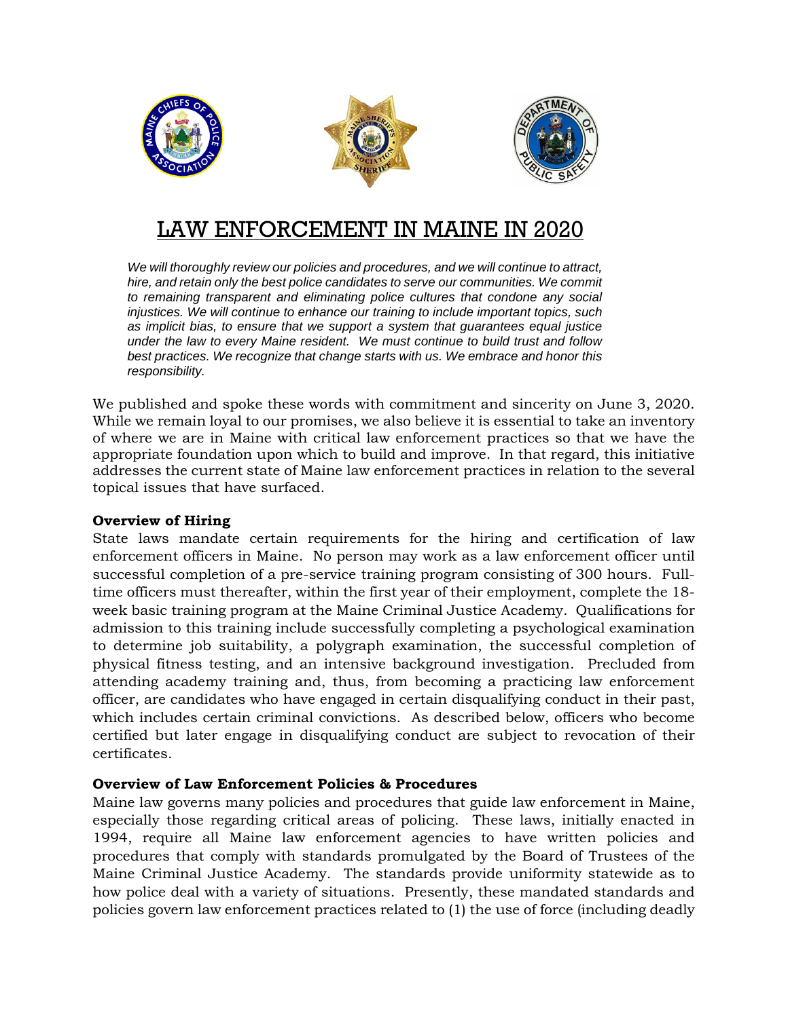

# LAW ENFORCEMENT IN MAINE IN 2020

*We will thoroughly review our policies and procedures, and we will continue to attract,*  hire, and retain only the best police candidates to serve our communities. We commit *to remaining transparent and eliminating police cultures that condone any social injustices. We will continue to enhance our training to include important topics, such as implicit bias, to ensure that we support a system that guarantees equal justice under the law to every Maine resident. We must continue to build trust and follow best practices. We recognize that change starts with us. We embrace and honor this responsibility.*

We published and spoke these words with commitment and sincerity on June 3, 2020. While we remain loyal to our promises, we also believe it is essential to take an inventory of where we are in Maine with critical law enforcement practices so that we have the appropriate foundation upon which to build and improve. In that regard, this initiative addresses the current state of Maine law enforcement practices in relation to the several topical issues that have surfaced.

## **Overview of Hiring**

State laws mandate certain requirements for the hiring and certification of law enforcement officers in Maine. No person may work as a law enforcement officer until successful completion of a pre-service training program consisting of 300 hours. Fulltime officers must thereafter, within the first year of their employment, complete the 18 week basic training program at the Maine Criminal Justice Academy. Qualifications for admission to this training include successfully completing a psychological examination to determine job suitability, a polygraph examination, the successful completion of physical fitness testing, and an intensive background investigation. Precluded from attending academy training and, thus, from becoming a practicing law enforcement officer, are candidates who have engaged in certain disqualifying conduct in their past, which includes certain criminal convictions. As described below, officers who become certified but later engage in disqualifying conduct are subject to revocation of their certificates.

## **Overview of Law Enforcement Policies & Procedures**

Maine law governs many policies and procedures that guide law enforcement in Maine, especially those regarding critical areas of policing. These laws, initially enacted in 1994, require all Maine law enforcement agencies to have written policies and procedures that comply with standards promulgated by the Board of Trustees of the Maine Criminal Justice Academy. The standards provide uniformity statewide as to how police deal with a variety of situations. Presently, these mandated standards and policies govern law enforcement practices related to (1) the use of force (including deadly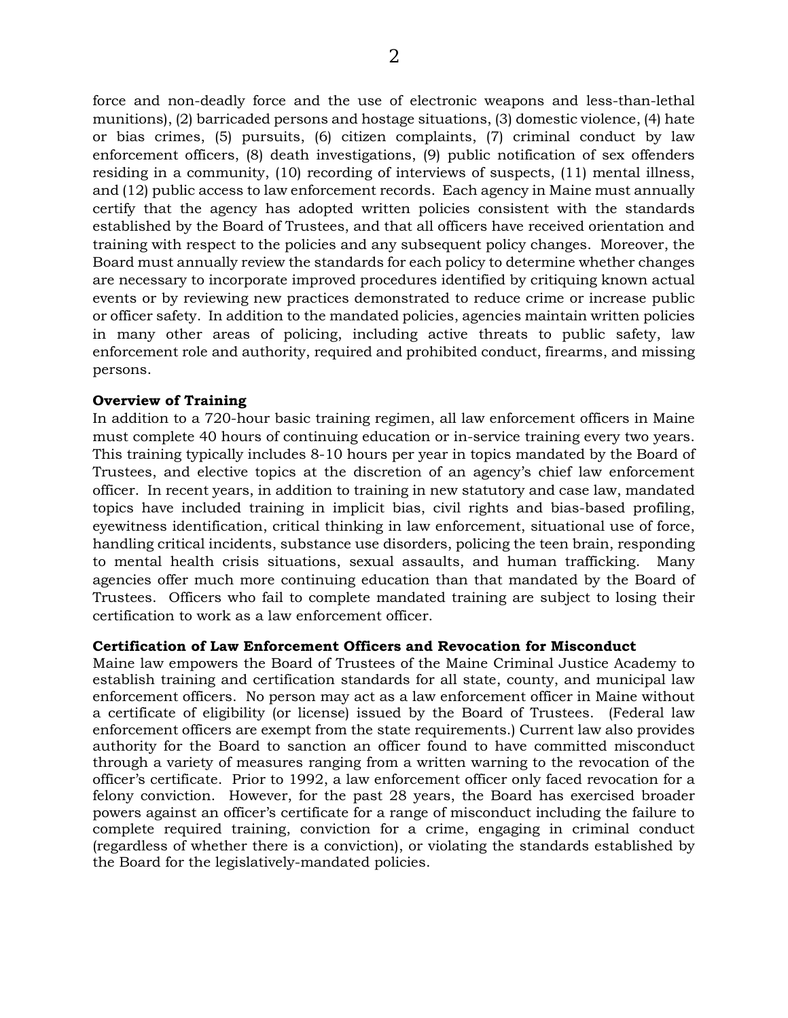force and non-deadly force and the use of electronic weapons and less-than-lethal munitions), (2) barricaded persons and hostage situations, (3) domestic violence, (4) hate or bias crimes, (5) pursuits, (6) citizen complaints, (7) criminal conduct by law enforcement officers, (8) death investigations, (9) public notification of sex offenders residing in a community, (10) recording of interviews of suspects, (11) mental illness, and (12) public access to law enforcement records. Each agency in Maine must annually certify that the agency has adopted written policies consistent with the standards established by the Board of Trustees, and that all officers have received orientation and training with respect to the policies and any subsequent policy changes. Moreover, the Board must annually review the standards for each policy to determine whether changes are necessary to incorporate improved procedures identified by critiquing known actual events or by reviewing new practices demonstrated to reduce crime or increase public or officer safety. In addition to the mandated policies, agencies maintain written policies in many other areas of policing, including active threats to public safety, law enforcement role and authority, required and prohibited conduct, firearms, and missing persons.

#### **Overview of Training**

In addition to a 720-hour basic training regimen, all law enforcement officers in Maine must complete 40 hours of continuing education or in-service training every two years. This training typically includes 8-10 hours per year in topics mandated by the Board of Trustees, and elective topics at the discretion of an agency's chief law enforcement officer. In recent years, in addition to training in new statutory and case law, mandated topics have included training in implicit bias, civil rights and bias-based profiling, eyewitness identification, critical thinking in law enforcement, situational use of force, handling critical incidents, substance use disorders, policing the teen brain, responding to mental health crisis situations, sexual assaults, and human trafficking. Many agencies offer much more continuing education than that mandated by the Board of Trustees. Officers who fail to complete mandated training are subject to losing their certification to work as a law enforcement officer.

#### **Certification of Law Enforcement Officers and Revocation for Misconduct**

Maine law empowers the Board of Trustees of the Maine Criminal Justice Academy to establish training and certification standards for all state, county, and municipal law enforcement officers. No person may act as a law enforcement officer in Maine without a certificate of eligibility (or license) issued by the Board of Trustees. (Federal law enforcement officers are exempt from the state requirements.) Current law also provides authority for the Board to sanction an officer found to have committed misconduct through a variety of measures ranging from a written warning to the revocation of the officer's certificate. Prior to 1992, a law enforcement officer only faced revocation for a felony conviction. However, for the past 28 years, the Board has exercised broader powers against an officer's certificate for a range of misconduct including the failure to complete required training, conviction for a crime, engaging in criminal conduct (regardless of whether there is a conviction), or violating the standards established by the Board for the legislatively-mandated policies.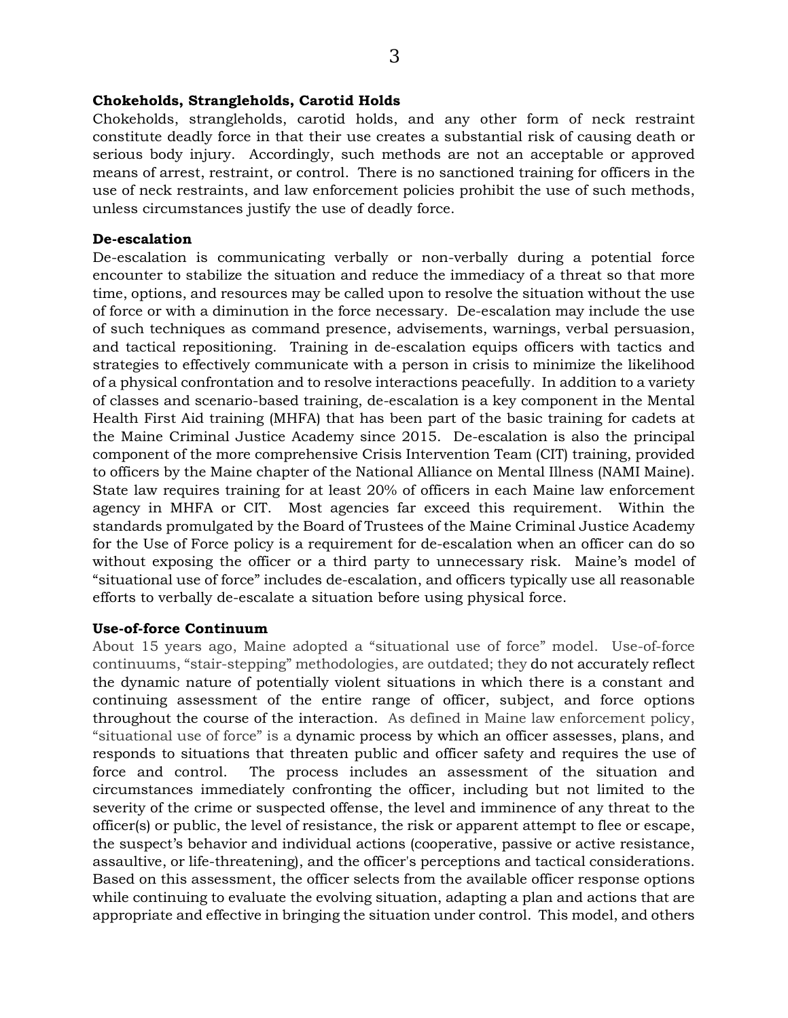## **Chokeholds, Strangleholds, Carotid Holds**

Chokeholds, strangleholds, carotid holds, and any other form of neck restraint constitute deadly force in that their use creates a substantial risk of causing death or serious body injury. Accordingly, such methods are not an acceptable or approved means of arrest, restraint, or control. There is no sanctioned training for officers in the use of neck restraints, and law enforcement policies prohibit the use of such methods, unless circumstances justify the use of deadly force.

#### **De-escalation**

De-escalation is communicating verbally or non-verbally during a potential force encounter to stabilize the situation and reduce the immediacy of a threat so that more time, options, and resources may be called upon to resolve the situation without the use of force or with a diminution in the force necessary. De-escalation may include the use of such techniques as command presence, advisements, warnings, verbal persuasion, and tactical repositioning. Training in de-escalation equips officers with tactics and strategies to effectively communicate with a person in crisis to minimize the likelihood of a physical confrontation and to resolve interactions peacefully. In addition to a variety of classes and scenario-based training, de-escalation is a key component in the Mental Health First Aid training (MHFA) that has been part of the basic training for cadets at the Maine Criminal Justice Academy since 2015. De-escalation is also the principal component of the more comprehensive Crisis Intervention Team (CIT) training, provided to officers by the Maine chapter of the National Alliance on Mental Illness (NAMI Maine). State law requires training for at least 20% of officers in each Maine law enforcement agency in MHFA or CIT. Most agencies far exceed this requirement. Within the standards promulgated by the Board of Trustees of the Maine Criminal Justice Academy for the Use of Force policy is a requirement for de-escalation when an officer can do so without exposing the officer or a third party to unnecessary risk. Maine's model of "situational use of force" includes de-escalation, and officers typically use all reasonable efforts to verbally de-escalate a situation before using physical force.

#### **Use-of-force Continuum**

About 15 years ago, Maine adopted a "situational use of force" model. Use-of-force continuums, "stair-stepping" methodologies, are outdated; they do not accurately reflect the dynamic nature of potentially violent situations in which there is a constant and continuing assessment of the entire range of officer, subject, and force options throughout the course of the interaction. As defined in Maine law enforcement policy, "situational use of force" is a dynamic process by which an officer assesses, plans, and responds to situations that threaten public and officer safety and requires the use of force and control. The process includes an assessment of the situation and circumstances immediately confronting the officer, including but not limited to the severity of the crime or suspected offense, the level and imminence of any threat to the officer(s) or public, the level of resistance, the risk or apparent attempt to flee or escape, the suspect's behavior and individual actions (cooperative, passive or active resistance, assaultive, or life-threatening), and the officer's perceptions and tactical considerations. Based on this assessment, the officer selects from the available officer response options while continuing to evaluate the evolving situation, adapting a plan and actions that are appropriate and effective in bringing the situation under control. This model, and others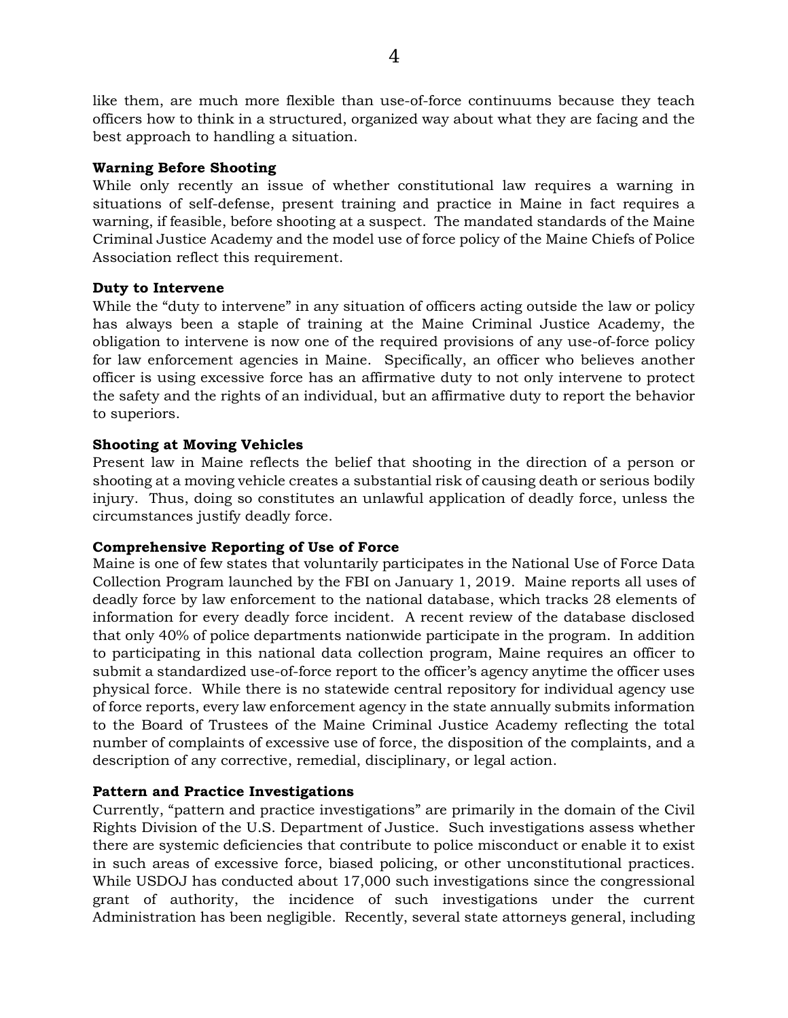like them, are much more flexible than use-of-force continuums because they teach officers how to think in a structured, organized way about what they are facing and the best approach to handling a situation.

## **Warning Before Shooting**

While only recently an issue of whether constitutional law requires a warning in situations of self-defense, present training and practice in Maine in fact requires a warning, if feasible, before shooting at a suspect. The mandated standards of the Maine Criminal Justice Academy and the model use of force policy of the Maine Chiefs of Police Association reflect this requirement.

## **Duty to Intervene**

While the "duty to intervene" in any situation of officers acting outside the law or policy has always been a staple of training at the Maine Criminal Justice Academy, the obligation to intervene is now one of the required provisions of any use-of-force policy for law enforcement agencies in Maine. Specifically, an officer who believes another officer is using excessive force has an affirmative duty to not only intervene to protect the safety and the rights of an individual, but an affirmative duty to report the behavior to superiors.

## **Shooting at Moving Vehicles**

Present law in Maine reflects the belief that shooting in the direction of a person or shooting at a moving vehicle creates a substantial risk of causing death or serious bodily injury. Thus, doing so constitutes an unlawful application of deadly force, unless the circumstances justify deadly force.

## **Comprehensive Reporting of Use of Force**

Maine is one of few states that voluntarily participates in the National Use of Force Data Collection Program launched by the FBI on January 1, 2019. Maine reports all uses of deadly force by law enforcement to the national database, which tracks 28 elements of information for every deadly force incident. A recent review of the database disclosed that only 40% of police departments nationwide participate in the program. In addition to participating in this national data collection program, Maine requires an officer to submit a standardized use-of-force report to the officer's agency anytime the officer uses physical force. While there is no statewide central repository for individual agency use of force reports, every law enforcement agency in the state annually submits information to the Board of Trustees of the Maine Criminal Justice Academy reflecting the total number of complaints of excessive use of force, the disposition of the complaints, and a description of any corrective, remedial, disciplinary, or legal action.

## **Pattern and Practice Investigations**

Currently, "pattern and practice investigations" are primarily in the domain of the Civil Rights Division of the U.S. Department of Justice. Such investigations assess whether there are systemic deficiencies that contribute to police misconduct or enable it to exist in such areas of excessive force, biased policing, or other unconstitutional practices. While USDOJ has conducted about 17,000 such investigations since the congressional grant of authority, the incidence of such investigations under the current Administration has been negligible. Recently, several state attorneys general, including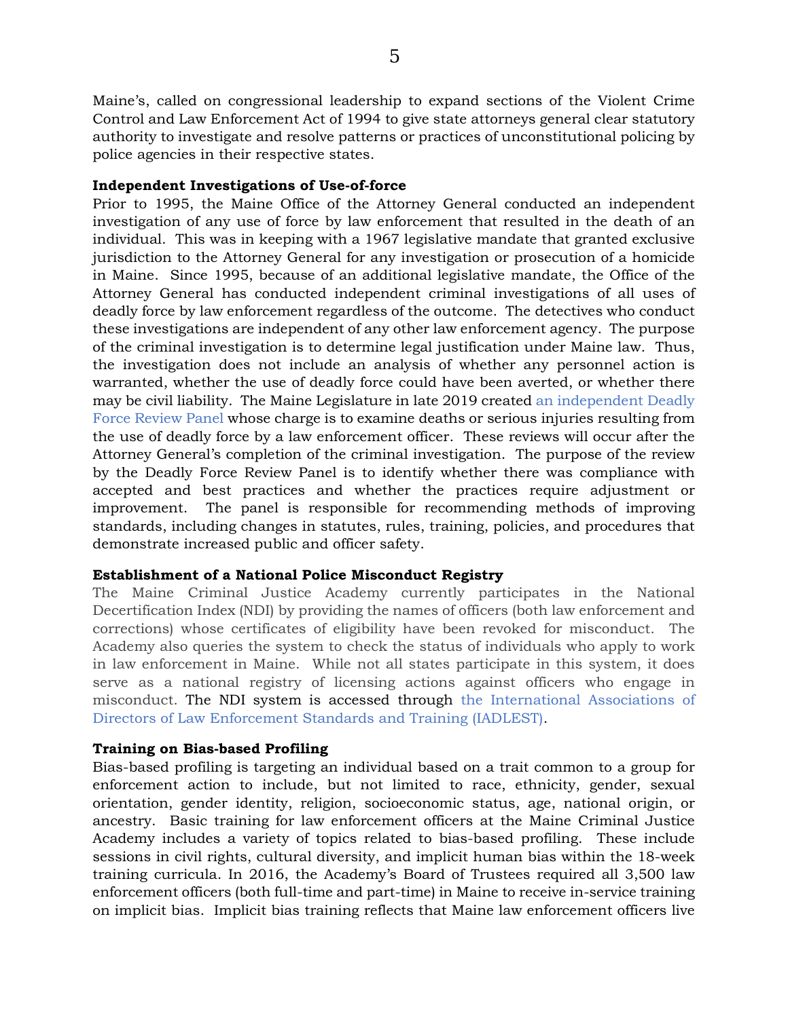Maine's, called on congressional leadership to expand sections of the Violent Crime Control and Law Enforcement Act of 1994 to give state attorneys general clear statutory authority to investigate and resolve patterns or practices of unconstitutional policing by police agencies in their respective states.

#### **Independent Investigations of Use-of-force**

Prior to 1995, the Maine Office of the Attorney General conducted an independent investigation of any use of force by law enforcement that resulted in the death of an individual. This was in keeping with a 1967 legislative mandate that granted exclusive jurisdiction to the Attorney General for any investigation or prosecution of a homicide in Maine. Since 1995, because of an additional legislative mandate, the Office of the Attorney General has conducted independent criminal investigations of all uses of deadly force by law enforcement regardless of the outcome. The detectives who conduct these investigations are independent of any other law enforcement agency. The purpose of the criminal investigation is to determine legal justification under Maine law. Thus, the investigation does not include an analysis of whether any personnel action is warranted, whether the use of deadly force could have been averted, or whether there may be civil liability. The Maine Legislature in late 2019 created an independent Deadly Force Review Panel whose charge is to examine deaths or serious injuries resulting from the use of deadly force by a law enforcement officer. These reviews will occur after the Attorney General's completion of the criminal investigation. The purpose of the review by the Deadly Force Review Panel is to identify whether there was compliance with accepted and best practices and whether the practices require adjustment or improvement. The panel is responsible for recommending methods of improving standards, including changes in statutes, rules, training, policies, and procedures that demonstrate increased public and officer safety.

#### **Establishment of a National Police Misconduct Registry**

The Maine Criminal Justice Academy currently participates in the National Decertification Index (NDI) by providing the names of officers (both law enforcement and corrections) whose certificates of eligibility have been revoked for misconduct. The Academy also queries the system to check the status of individuals who apply to work in law enforcement in Maine. While not all states participate in this system, it does serve as a national registry of licensing actions against officers who engage in misconduct. The NDI system is accessed through the International Associations of Directors of Law Enforcement Standards and Training (IADLEST).

#### **Training on Bias-based Profiling**

Bias-based profiling is targeting an individual based on a trait common to a group for enforcement action to include, but not limited to race, ethnicity, gender, sexual orientation, gender identity, religion, socioeconomic status, age, national origin, or ancestry. Basic training for law enforcement officers at the Maine Criminal Justice Academy includes a variety of topics related to bias-based profiling. These include sessions in civil rights, cultural diversity, and implicit human bias within the 18-week training curricula. In 2016, the Academy's Board of Trustees required all 3,500 law enforcement officers (both full-time and part-time) in Maine to receive in-service training on implicit bias. Implicit bias training reflects that Maine law enforcement officers live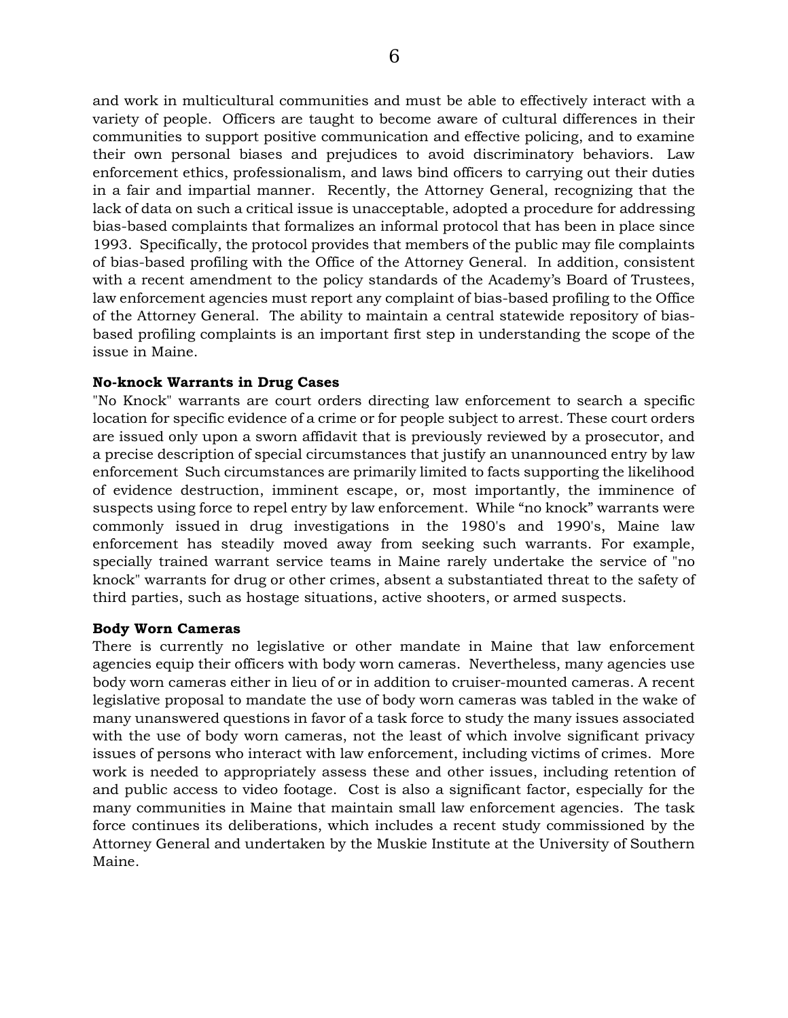and work in multicultural communities and must be able to effectively interact with a variety of people. Officers are taught to become aware of cultural differences in their communities to support positive communication and effective policing, and to examine their own personal biases and prejudices to avoid discriminatory behaviors. Law enforcement ethics, professionalism, and laws bind officers to carrying out their duties in a fair and impartial manner. Recently, the Attorney General, recognizing that the lack of data on such a critical issue is unacceptable, adopted a procedure for addressing bias-based complaints that formalizes an informal protocol that has been in place since 1993. Specifically, the protocol provides that members of the public may file complaints of bias-based profiling with the Office of the Attorney General. In addition, consistent with a recent amendment to the policy standards of the Academy's Board of Trustees, law enforcement agencies must report any complaint of bias-based profiling to the Office of the Attorney General. The ability to maintain a central statewide repository of biasbased profiling complaints is an important first step in understanding the scope of the issue in Maine.

## **No-knock Warrants in Drug Cases**

"No Knock" warrants are court orders directing law enforcement to search a specific location for specific evidence of a crime or for people subject to arrest. These court orders are issued only upon a sworn affidavit that is previously reviewed by a prosecutor, and a precise description of special circumstances that justify an unannounced entry by law enforcement Such circumstances are primarily limited to facts supporting the likelihood of evidence destruction, imminent escape, or, most importantly, the imminence of suspects using force to repel entry by law enforcement. While "no knock" warrants were commonly issued in drug investigations in the 1980's and 1990's, Maine law enforcement has steadily moved away from seeking such warrants. For example, specially trained warrant service teams in Maine rarely undertake the service of "no knock" warrants for drug or other crimes, absent a substantiated threat to the safety of third parties, such as hostage situations, active shooters, or armed suspects.

#### **Body Worn Cameras**

There is currently no legislative or other mandate in Maine that law enforcement agencies equip their officers with body worn cameras. Nevertheless, many agencies use body worn cameras either in lieu of or in addition to cruiser-mounted cameras. A recent legislative proposal to mandate the use of body worn cameras was tabled in the wake of many unanswered questions in favor of a task force to study the many issues associated with the use of body worn cameras, not the least of which involve significant privacy issues of persons who interact with law enforcement, including victims of crimes. More work is needed to appropriately assess these and other issues, including retention of and public access to video footage. Cost is also a significant factor, especially for the many communities in Maine that maintain small law enforcement agencies. The task force continues its deliberations, which includes a recent study commissioned by the Attorney General and undertaken by the Muskie Institute at the University of Southern Maine.